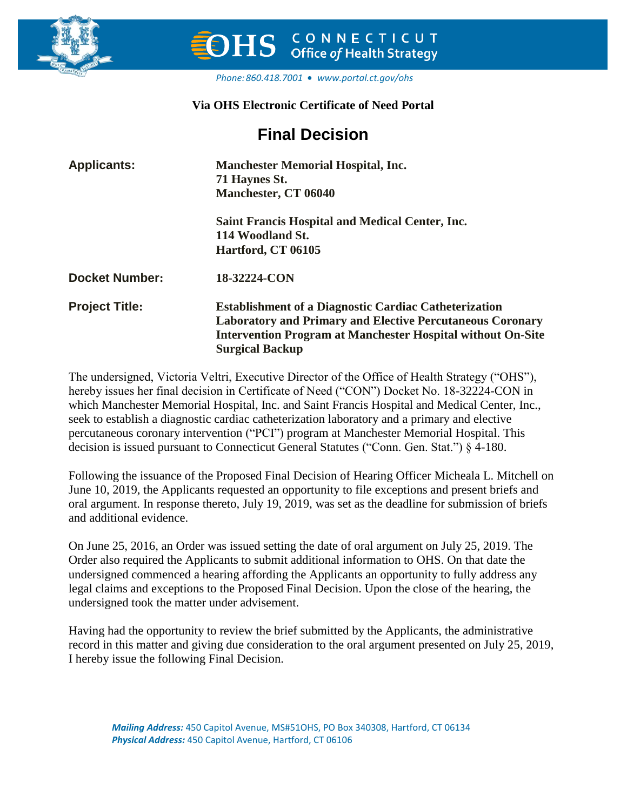

# CONNECTICUT **Office of Health Strategy**

#### *Phone:860.418.7001 [www.portal.ct.gov/ohs](http://www.portal.ct.gov/ohs)*

# **Via OHS Electronic Certificate of Need Portal**

# **Final Decision**

| <b>Applicants:</b>    | <b>Manchester Memorial Hospital, Inc.</b><br>71 Haynes St.<br>Manchester, CT 06040                                                                                                                                               |  |  |  |  |
|-----------------------|----------------------------------------------------------------------------------------------------------------------------------------------------------------------------------------------------------------------------------|--|--|--|--|
|                       | <b>Saint Francis Hospital and Medical Center, Inc.</b><br>114 Woodland St.                                                                                                                                                       |  |  |  |  |
|                       | Hartford, CT 06105                                                                                                                                                                                                               |  |  |  |  |
| <b>Docket Number:</b> | 18-32224-CON                                                                                                                                                                                                                     |  |  |  |  |
| <b>Project Title:</b> | <b>Establishment of a Diagnostic Cardiac Catheterization</b><br><b>Laboratory and Primary and Elective Percutaneous Coronary</b><br><b>Intervention Program at Manchester Hospital without On-Site</b><br><b>Surgical Backup</b> |  |  |  |  |

The undersigned, Victoria Veltri, Executive Director of the Office of Health Strategy ("OHS"), hereby issues her final decision in Certificate of Need ("CON") Docket No. 18-32224-CON in which Manchester Memorial Hospital, Inc. and Saint Francis Hospital and Medical Center, Inc., seek to establish a diagnostic cardiac catheterization laboratory and a primary and elective percutaneous coronary intervention ("PCI") program at Manchester Memorial Hospital. This decision is issued pursuant to Connecticut General Statutes ("Conn. Gen. Stat.") § 4-180.

Following the issuance of the Proposed Final Decision of Hearing Officer Micheala L. Mitchell on June 10, 2019, the Applicants requested an opportunity to file exceptions and present briefs and oral argument. In response thereto, July 19, 2019, was set as the deadline for submission of briefs and additional evidence.

On June 25, 2016, an Order was issued setting the date of oral argument on July 25, 2019. The Order also required the Applicants to submit additional information to OHS. On that date the undersigned commenced a hearing affording the Applicants an opportunity to fully address any legal claims and exceptions to the Proposed Final Decision. Upon the close of the hearing, the undersigned took the matter under advisement.

Having had the opportunity to review the brief submitted by the Applicants, the administrative record in this matter and giving due consideration to the oral argument presented on July 25, 2019, I hereby issue the following Final Decision.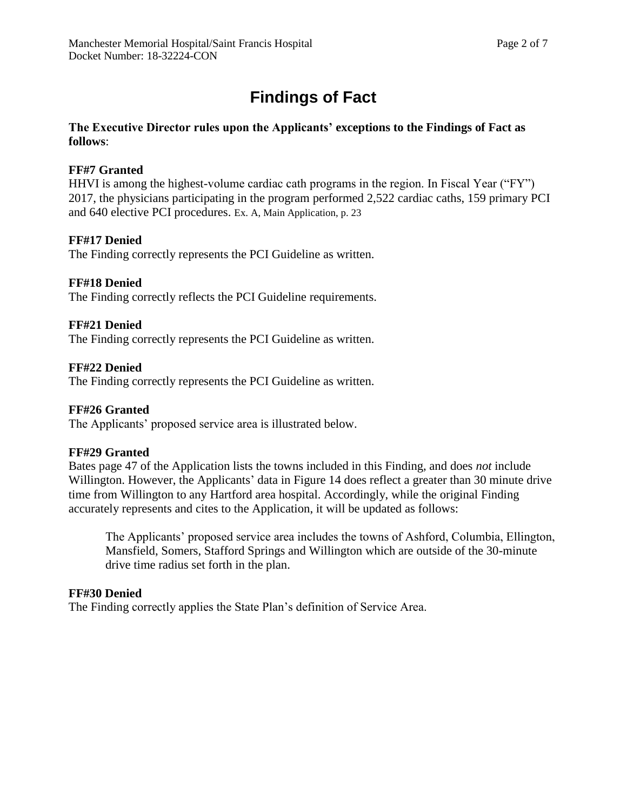# **Findings of Fact**

## **The Executive Director rules upon the Applicants' exceptions to the Findings of Fact as follows**:

# **FF#7 Granted**

HHVI is among the highest-volume cardiac cath programs in the region. In Fiscal Year ("FY") 2017, the physicians participating in the program performed 2,522 cardiac caths, 159 primary PCI and 640 elective PCI procedures. Ex. A, Main Application, p. 23

# **FF#17 Denied**

The Finding correctly represents the PCI Guideline as written.

# **FF#18 Denied**

The Finding correctly reflects the PCI Guideline requirements.

# **FF#21 Denied**

The Finding correctly represents the PCI Guideline as written.

# **FF#22 Denied**

The Finding correctly represents the PCI Guideline as written.

# **FF#26 Granted**

The Applicants' proposed service area is illustrated below.

# **FF#29 Granted**

Bates page 47 of the Application lists the towns included in this Finding, and does *not* include Willington. However, the Applicants' data in Figure 14 does reflect a greater than 30 minute drive time from Willington to any Hartford area hospital. Accordingly, while the original Finding accurately represents and cites to the Application, it will be updated as follows:

The Applicants' proposed service area includes the towns of Ashford, Columbia, Ellington, Mansfield, Somers, Stafford Springs and Willington which are outside of the 30-minute drive time radius set forth in the plan.

# **FF#30 Denied**

The Finding correctly applies the State Plan's definition of Service Area.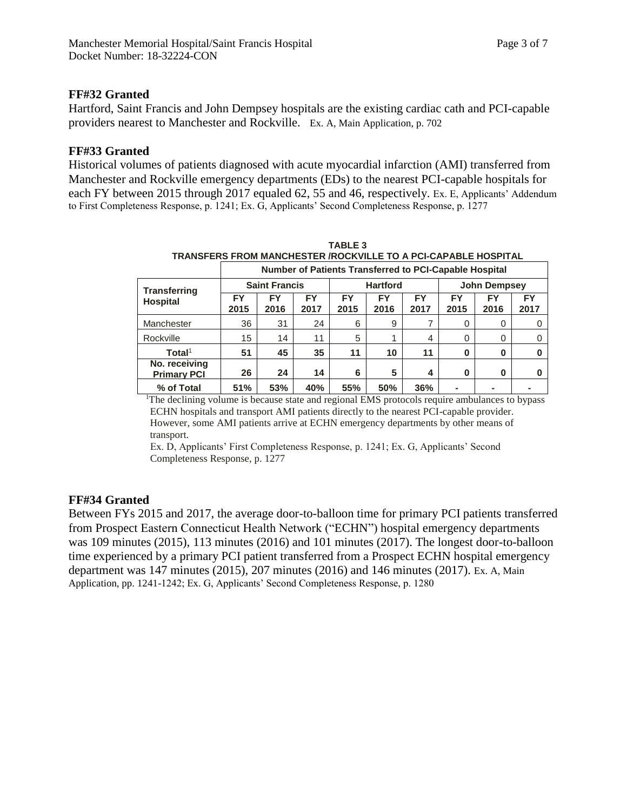Hartford, Saint Francis and John Dempsey hospitals are the existing cardiac cath and PCI-capable providers nearest to Manchester and Rockville. Ex. A, Main Application, p. 702

# **FF#33 Granted**

Historical volumes of patients diagnosed with acute myocardial infarction (AMI) transferred from Manchester and Rockville emergency departments (EDs) to the nearest PCI-capable hospitals for each FY between 2015 through 2017 equaled 62, 55 and 46, respectively. Ex. E, Applicants' Addendum to First Completeness Response, p. 1241; Ex. G, Applicants' Second Completeness Response, p. 1277

| TRANSFERS FROM MANCHESTER /ROCKVILLE TO A PCI-CAPABLE HOSPITAL |                      |            |                   |                 |                   |                   |                     |            |            |
|----------------------------------------------------------------|----------------------|------------|-------------------|-----------------|-------------------|-------------------|---------------------|------------|------------|
| Number of Patients Transferred to PCI-Capable Hospital         |                      |            |                   |                 |                   |                   |                     |            |            |
| <b>Transferring</b><br><b>Hospital</b>                         | <b>Saint Francis</b> |            |                   | <b>Hartford</b> |                   |                   | <b>John Dempsey</b> |            |            |
|                                                                | FY<br>2015           | FY<br>2016 | <b>FY</b><br>2017 | FY<br>2015      | <b>FY</b><br>2016 | <b>FY</b><br>2017 | FY<br>2015          | FY<br>2016 | FY<br>2017 |
| Manchester                                                     | 36                   | 31         | 24                | 6               | 9                 |                   | 0                   | 0          |            |
| Rockville                                                      | 15                   | 14         | 11                | 5               |                   | 4                 | $\Omega$            | $\Omega$   |            |
| Total <sup>1</sup>                                             | 51                   | 45         | 35                | 11              | 10                | 11                | $\bf{0}$            | 0          | 0          |
| No. receiving<br><b>Primary PCI</b>                            | 26                   | 24         | 14                | 6               | 5                 | 4                 | 0                   | 0          | 0          |
| % of Total                                                     | 51%                  | 53%        | 40%               | 55%             | 50%               | 36%               |                     |            |            |

**TABLE 3**

<sup>1</sup>The declining volume is because state and regional EMS protocols require ambulances to bypass ECHN hospitals and transport AMI patients directly to the nearest PCI-capable provider. However, some AMI patients arrive at ECHN emergency departments by other means of transport.

Ex. D, Applicants' First Completeness Response, p. 1241; Ex. G, Applicants' Second Completeness Response, p. 1277

# **FF#34 Granted**

Between FYs 2015 and 2017, the average door-to-balloon time for primary PCI patients transferred from Prospect Eastern Connecticut Health Network ("ECHN") hospital emergency departments was 109 minutes (2015), 113 minutes (2016) and 101 minutes (2017). The longest door-to-balloon time experienced by a primary PCI patient transferred from a Prospect ECHN hospital emergency department was 147 minutes (2015), 207 minutes (2016) and 146 minutes (2017). Ex. A, Main Application, pp. 1241-1242; Ex. G, Applicants' Second Completeness Response, p. 1280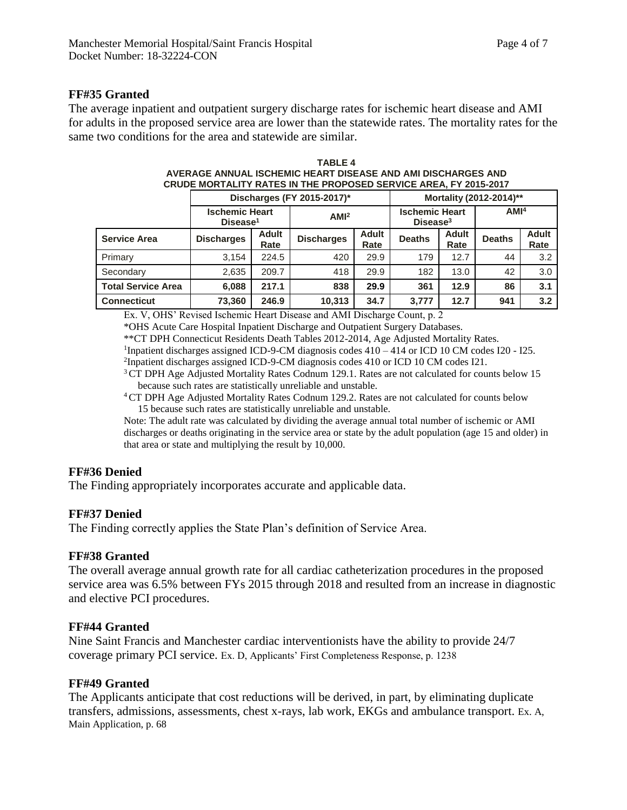### **FF#35 Granted**

The average inpatient and outpatient surgery discharge rates for ischemic heart disease and AMI for adults in the proposed service area are lower than the statewide rates. The mortality rates for the same two conditions for the area and statewide are similar.

|                                 | Discharges (FY 2015-2017)*                    | Mortality (2012-2014)** |                    |                      |                                               |                      |                  |                      |
|---------------------------------|-----------------------------------------------|-------------------------|--------------------|----------------------|-----------------------------------------------|----------------------|------------------|----------------------|
|                                 | <b>Ischemic Heart</b><br>Disease <sup>1</sup> |                         | AMI <sup>2</sup>   |                      | <b>Ischemic Heart</b><br>Disease <sup>3</sup> |                      | AMI <sup>4</sup> |                      |
| <b>Service Area</b>             | <b>Discharges</b>                             | Adult<br>Rate           | <b>Discharges</b>  | <b>Adult</b><br>Rate | <b>Deaths</b>                                 | <b>Adult</b><br>Rate | <b>Deaths</b>    | <b>Adult</b><br>Rate |
| Primary                         | 3.154                                         | 224.5                   | 420                | 29.9                 | 179                                           | 12.7                 | 44               | 3.2                  |
| Secondary                       | 2,635                                         | 209.7                   | 418                | 29.9                 | 182                                           | 13.0                 | 42               | 3.0                  |
| <b>Total Service Area</b>       | 6,088                                         | 217.1                   | 838                | 29.9                 | 361                                           | 12.9                 | 86               | 3.1                  |
| <b>Connecticut</b>              | 73,360                                        | 246.9                   | 10.313             | 34.7                 | 3.777                                         | 12.7                 | 941              | 3.2                  |
| $E \times I \times \mathcal{L}$ | 111111111                                     | $\cdots$                | 1.11H <sub>D</sub> | $\blacksquare$       | $\sim$ $\sim$                                 |                      |                  |                      |

| TARI F 4                                                         |
|------------------------------------------------------------------|
| AVERAGE ANNUAL ISCHEMIC HEART DISEASE AND AMI DISCHARGES AND     |
| CRUDE MORTALITY RATES IN THE PROPOSED SERVICE AREA. FY 2015-2017 |

Ex. V, OHS' Revised Ischemic Heart Disease and AMI Discharge Count, p. 2

\*OHS Acute Care Hospital Inpatient Discharge and Outpatient Surgery Databases.

\*\*CT DPH Connecticut Residents Death Tables 2012-2014, Age Adjusted Mortality Rates.

<sup>1</sup>Inpatient discharges assigned ICD-9-CM diagnosis codes 410 – 414 or ICD 10 CM codes I20 - I25.

2 Inpatient discharges assigned ICD-9-CM diagnosis codes 410 or ICD 10 CM codes I21.

<sup>3</sup> CT DPH Age Adjusted Mortality Rates Codnum 129.1. Rates are not calculated for counts below 15 because such rates are statistically unreliable and unstable.

<sup>4</sup>CT DPH Age Adjusted Mortality Rates Codnum 129.2. Rates are not calculated for counts below 15 because such rates are statistically unreliable and unstable.

Note: The adult rate was calculated by dividing the average annual total number of ischemic or AMI discharges or deaths originating in the service area or state by the adult population (age 15 and older) in that area or state and multiplying the result by 10,000.

### **FF#36 Denied**

The Finding appropriately incorporates accurate and applicable data.

#### **FF#37 Denied**

The Finding correctly applies the State Plan's definition of Service Area.

#### **FF#38 Granted**

The overall average annual growth rate for all cardiac catheterization procedures in the proposed service area was 6.5% between FYs 2015 through 2018 and resulted from an increase in diagnostic and elective PCI procedures.

#### **FF#44 Granted**

Nine Saint Francis and Manchester cardiac interventionists have the ability to provide 24/7 coverage primary PCI service. Ex. D, Applicants' First Completeness Response, p. 1238

#### **FF#49 Granted**

The Applicants anticipate that cost reductions will be derived, in part, by eliminating duplicate transfers, admissions, assessments, chest x-rays, lab work, EKGs and ambulance transport. Ex. A, Main Application, p. 68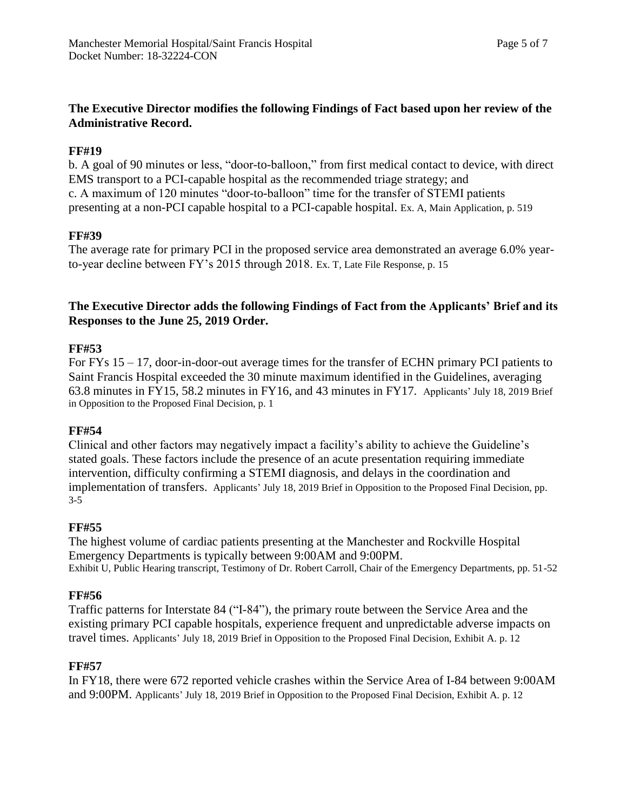# **The Executive Director modifies the following Findings of Fact based upon her review of the Administrative Record.**

# **FF#19**

b. A goal of 90 minutes or less, "door-to-balloon," from first medical contact to device, with direct EMS transport to a PCI-capable hospital as the recommended triage strategy; and c. A maximum of 120 minutes "door-to-balloon" time for the transfer of STEMI patients presenting at a non-PCI capable hospital to a PCI-capable hospital. Ex. A, Main Application, p. 519

# **FF#39**

The average rate for primary PCI in the proposed service area demonstrated an average 6.0% yearto-year decline between FY's 2015 through 2018. Ex. T, Late File Response, p. 15

# **The Executive Director adds the following Findings of Fact from the Applicants' Brief and its Responses to the June 25, 2019 Order.**

# **FF#53**

For FYs 15 – 17, door-in-door-out average times for the transfer of ECHN primary PCI patients to Saint Francis Hospital exceeded the 30 minute maximum identified in the Guidelines, averaging 63.8 minutes in FY15, 58.2 minutes in FY16, and 43 minutes in FY17. Applicants' July 18, 2019 Brief in Opposition to the Proposed Final Decision, p. 1

### **FF#54**

Clinical and other factors may negatively impact a facility's ability to achieve the Guideline's stated goals. These factors include the presence of an acute presentation requiring immediate intervention, difficulty confirming a STEMI diagnosis, and delays in the coordination and implementation of transfers. Applicants' July 18, 2019 Brief in Opposition to the Proposed Final Decision, pp. 3-5

# **FF#55**

The highest volume of cardiac patients presenting at the Manchester and Rockville Hospital Emergency Departments is typically between 9:00AM and 9:00PM. Exhibit U, Public Hearing transcript, Testimony of Dr. Robert Carroll, Chair of the Emergency Departments, pp. 51-52

# **FF#56**

Traffic patterns for Interstate 84 ("I-84"), the primary route between the Service Area and the existing primary PCI capable hospitals, experience frequent and unpredictable adverse impacts on travel times. Applicants' July 18, 2019 Brief in Opposition to the Proposed Final Decision, Exhibit A. p. 12

### **FF#57**

In FY18, there were 672 reported vehicle crashes within the Service Area of I-84 between 9:00AM and 9:00PM. Applicants' July 18, 2019 Brief in Opposition to the Proposed Final Decision, Exhibit A. p. 12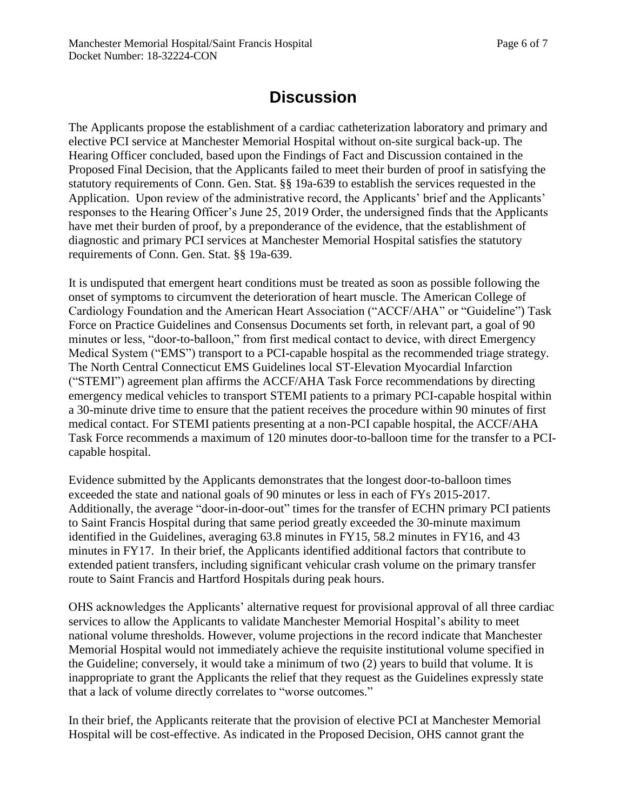# **Discussion**

The Applicants propose the establishment of a cardiac catheterization laboratory and primary and elective PCI service at Manchester Memorial Hospital without on-site surgical back-up. The Hearing Officer concluded, based upon the Findings of Fact and Discussion contained in the Proposed Final Decision, that the Applicants failed to meet their burden of proof in satisfying the statutory requirements of Conn. Gen. Stat. §§ 19a-639 to establish the services requested in the Application. Upon review of the administrative record, the Applicants' brief and the Applicants' responses to the Hearing Officer's June 25, 2019 Order, the undersigned finds that the Applicants have met their burden of proof, by a preponderance of the evidence, that the establishment of diagnostic and primary PCI services at Manchester Memorial Hospital satisfies the statutory requirements of Conn. Gen. Stat. §§ 19a-639.

It is undisputed that emergent heart conditions must be treated as soon as possible following the onset of symptoms to circumvent the deterioration of heart muscle. The American College of Cardiology Foundation and the American Heart Association ("ACCF/AHA" or "Guideline") Task Force on Practice Guidelines and Consensus Documents set forth, in relevant part, a goal of 90 minutes or less, "door-to-balloon," from first medical contact to device, with direct Emergency Medical System ("EMS") transport to a PCI-capable hospital as the recommended triage strategy. The North Central Connecticut EMS Guidelines local ST-Elevation Myocardial Infarction ("STEMI") agreement plan affirms the ACCF/AHA Task Force recommendations by directing emergency medical vehicles to transport STEMI patients to a primary PCI-capable hospital within a 30-minute drive time to ensure that the patient receives the procedure within 90 minutes of first medical contact. For STEMI patients presenting at a non-PCI capable hospital, the ACCF/AHA Task Force recommends a maximum of 120 minutes door-to-balloon time for the transfer to a PCIcapable hospital.

Evidence submitted by the Applicants demonstrates that the longest door-to-balloon times exceeded the state and national goals of 90 minutes or less in each of FYs 2015-2017. Additionally, the average "door-in-door-out" times for the transfer of ECHN primary PCI patients to Saint Francis Hospital during that same period greatly exceeded the 30-minute maximum identified in the Guidelines, averaging 63.8 minutes in FY15, 58.2 minutes in FY16, and 43 minutes in FY17. In their brief, the Applicants identified additional factors that contribute to extended patient transfers, including significant vehicular crash volume on the primary transfer route to Saint Francis and Hartford Hospitals during peak hours.

OHS acknowledges the Applicants' alternative request for provisional approval of all three cardiac services to allow the Applicants to validate Manchester Memorial Hospital's ability to meet national volume thresholds. However, volume projections in the record indicate that Manchester Memorial Hospital would not immediately achieve the requisite institutional volume specified in the Guideline; conversely, it would take a minimum of two (2) years to build that volume. It is inappropriate to grant the Applicants the relief that they request as the Guidelines expressly state that a lack of volume directly correlates to "worse outcomes."

In their brief, the Applicants reiterate that the provision of elective PCI at Manchester Memorial Hospital will be cost-effective. As indicated in the Proposed Decision, OHS cannot grant the